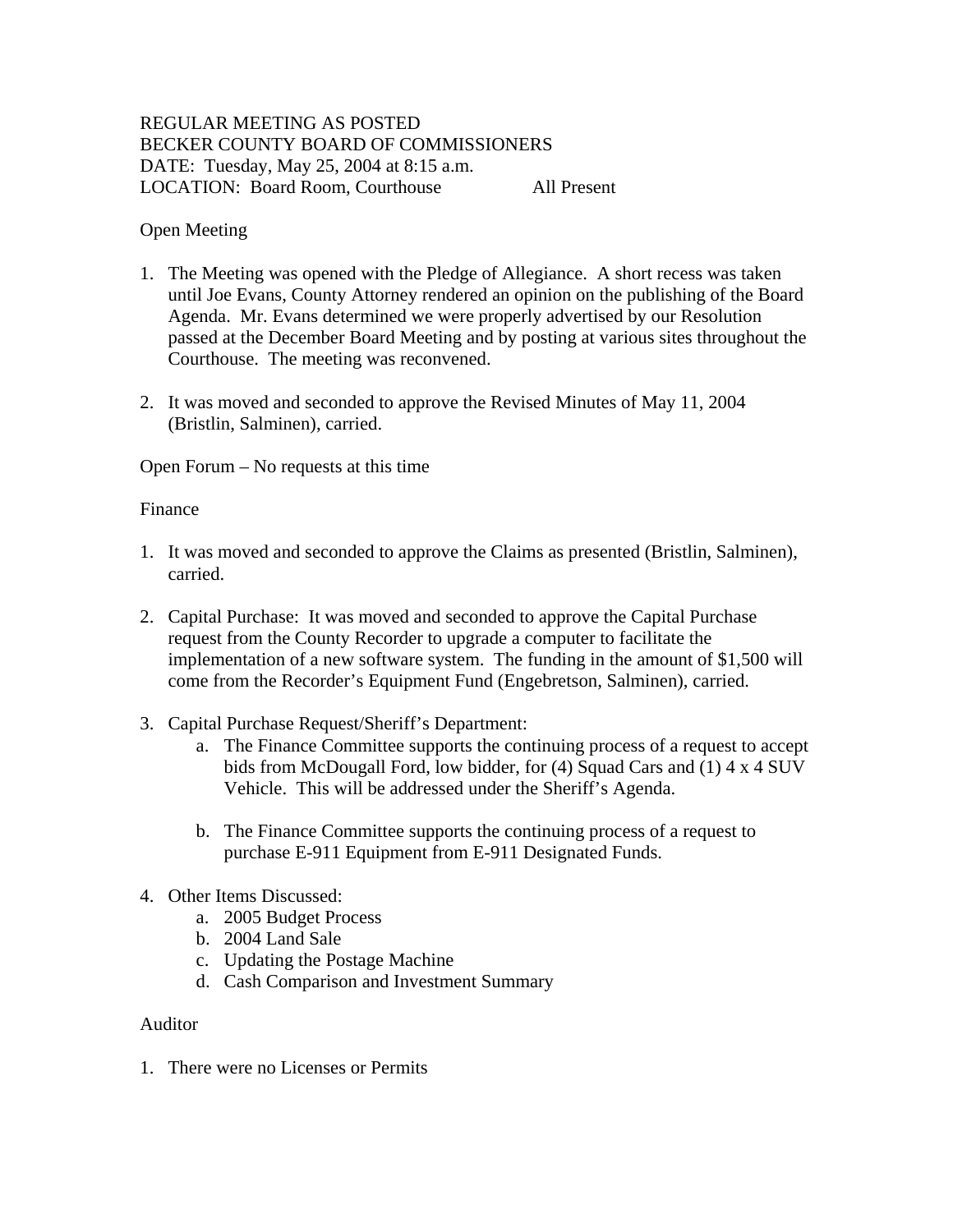# REGULAR MEETING AS POSTED BECKER COUNTY BOARD OF COMMISSIONERS DATE: Tuesday, May 25, 2004 at 8:15 a.m. LOCATION: Board Room, Courthouse All Present

## Open Meeting

- 1. The Meeting was opened with the Pledge of Allegiance. A short recess was taken until Joe Evans, County Attorney rendered an opinion on the publishing of the Board Agenda. Mr. Evans determined we were properly advertised by our Resolution passed at the December Board Meeting and by posting at various sites throughout the Courthouse. The meeting was reconvened.
- 2. It was moved and seconded to approve the Revised Minutes of May 11, 2004 (Bristlin, Salminen), carried.

Open Forum – No requests at this time

## Finance

- 1. It was moved and seconded to approve the Claims as presented (Bristlin, Salminen), carried.
- 2. Capital Purchase: It was moved and seconded to approve the Capital Purchase request from the County Recorder to upgrade a computer to facilitate the implementation of a new software system. The funding in the amount of \$1,500 will come from the Recorder's Equipment Fund (Engebretson, Salminen), carried.
- 3. Capital Purchase Request/Sheriff's Department:
	- a. The Finance Committee supports the continuing process of a request to accept bids from McDougall Ford, low bidder, for (4) Squad Cars and (1) 4 x 4 SUV Vehicle. This will be addressed under the Sheriff's Agenda.
	- b. The Finance Committee supports the continuing process of a request to purchase E-911 Equipment from E-911 Designated Funds.
- 4. Other Items Discussed:
	- a. 2005 Budget Process
	- b. 2004 Land Sale
	- c. Updating the Postage Machine
	- d. Cash Comparison and Investment Summary

## Auditor

1. There were no Licenses or Permits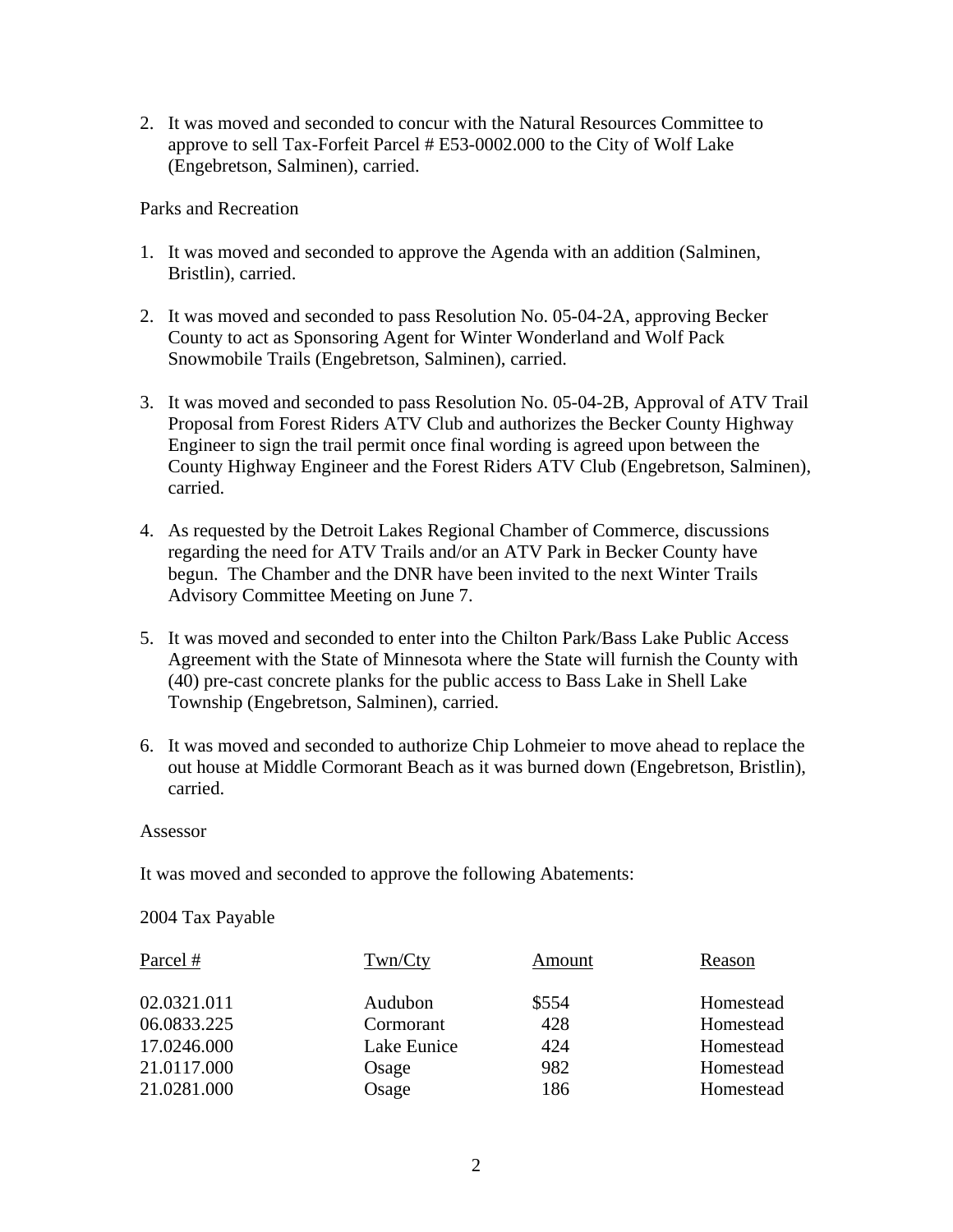2. It was moved and seconded to concur with the Natural Resources Committee to approve to sell Tax-Forfeit Parcel # E53-0002.000 to the City of Wolf Lake (Engebretson, Salminen), carried.

Parks and Recreation

- 1. It was moved and seconded to approve the Agenda with an addition (Salminen, Bristlin), carried.
- 2. It was moved and seconded to pass Resolution No. 05-04-2A, approving Becker County to act as Sponsoring Agent for Winter Wonderland and Wolf Pack Snowmobile Trails (Engebretson, Salminen), carried.
- 3. It was moved and seconded to pass Resolution No. 05-04-2B, Approval of ATV Trail Proposal from Forest Riders ATV Club and authorizes the Becker County Highway Engineer to sign the trail permit once final wording is agreed upon between the County Highway Engineer and the Forest Riders ATV Club (Engebretson, Salminen), carried.
- 4. As requested by the Detroit Lakes Regional Chamber of Commerce, discussions regarding the need for ATV Trails and/or an ATV Park in Becker County have begun. The Chamber and the DNR have been invited to the next Winter Trails Advisory Committee Meeting on June 7.
- 5. It was moved and seconded to enter into the Chilton Park/Bass Lake Public Access Agreement with the State of Minnesota where the State will furnish the County with (40) pre-cast concrete planks for the public access to Bass Lake in Shell Lake Township (Engebretson, Salminen), carried.
- 6. It was moved and seconded to authorize Chip Lohmeier to move ahead to replace the out house at Middle Cormorant Beach as it was burned down (Engebretson, Bristlin), carried.

### Assessor

It was moved and seconded to approve the following Abatements:

### 2004 Tax Payable

| Parcel #    | Twn/Cty     | Amount | Reason    |
|-------------|-------------|--------|-----------|
| 02.0321.011 | Audubon     | \$554  | Homestead |
| 06.0833.225 | Cormorant   | 428    | Homestead |
| 17.0246.000 | Lake Eunice | 424    | Homestead |
| 21.0117.000 | Osage       | 982    | Homestead |
| 21.0281.000 | Osage       | 186    | Homestead |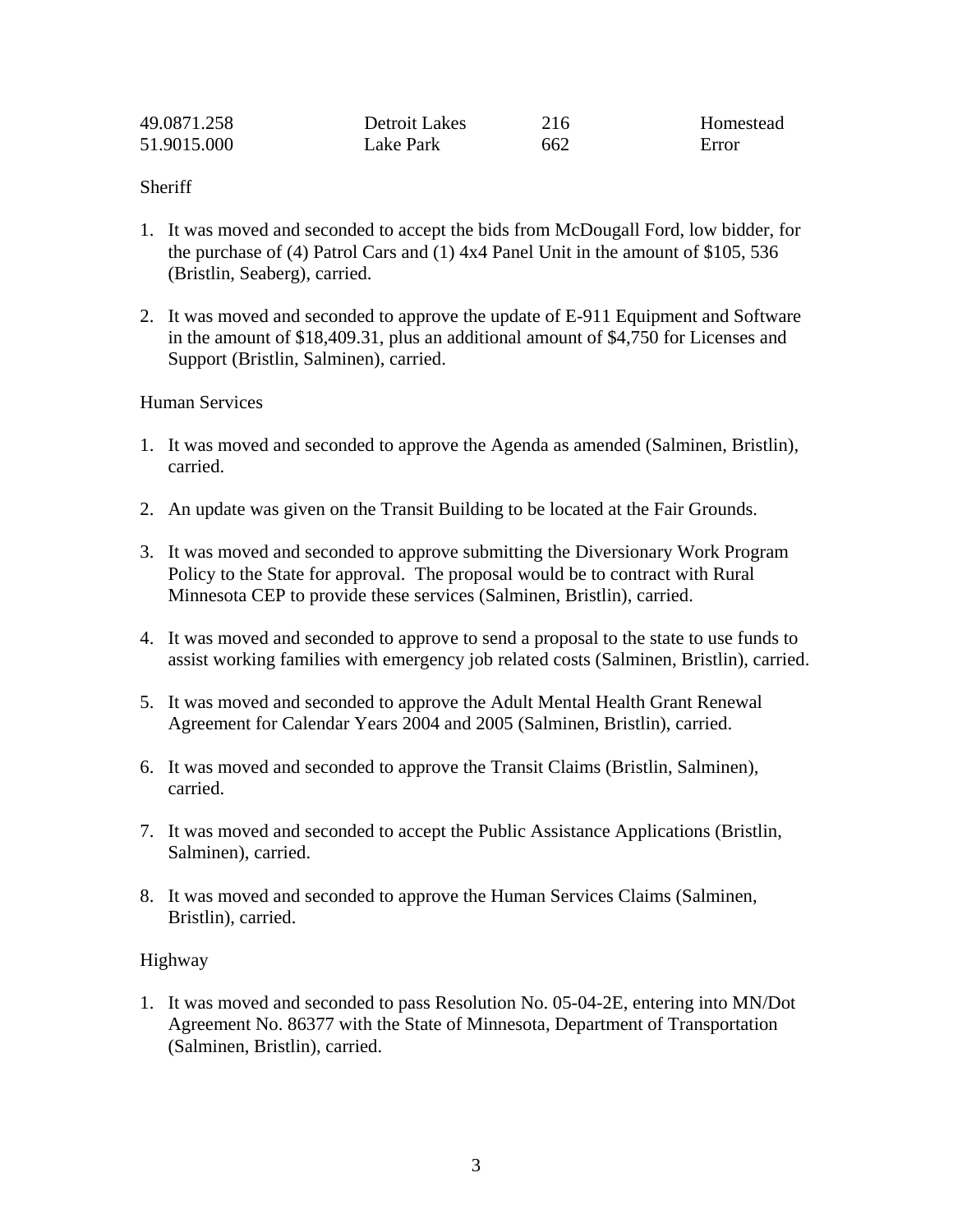| 49.0871.258 | Detroit Lakes | 216 | Homestead |
|-------------|---------------|-----|-----------|
| 51.9015.000 | Lake Park     | 662 | Error     |

## **Sheriff**

- 1. It was moved and seconded to accept the bids from McDougall Ford, low bidder, for the purchase of (4) Patrol Cars and (1) 4x4 Panel Unit in the amount of \$105, 536 (Bristlin, Seaberg), carried.
- 2. It was moved and seconded to approve the update of E-911 Equipment and Software in the amount of \$18,409.31, plus an additional amount of \$4,750 for Licenses and Support (Bristlin, Salminen), carried.

## Human Services

- 1. It was moved and seconded to approve the Agenda as amended (Salminen, Bristlin), carried.
- 2. An update was given on the Transit Building to be located at the Fair Grounds.
- 3. It was moved and seconded to approve submitting the Diversionary Work Program Policy to the State for approval. The proposal would be to contract with Rural Minnesota CEP to provide these services (Salminen, Bristlin), carried.
- 4. It was moved and seconded to approve to send a proposal to the state to use funds to assist working families with emergency job related costs (Salminen, Bristlin), carried.
- 5. It was moved and seconded to approve the Adult Mental Health Grant Renewal Agreement for Calendar Years 2004 and 2005 (Salminen, Bristlin), carried.
- 6. It was moved and seconded to approve the Transit Claims (Bristlin, Salminen), carried.
- 7. It was moved and seconded to accept the Public Assistance Applications (Bristlin, Salminen), carried.
- 8. It was moved and seconded to approve the Human Services Claims (Salminen, Bristlin), carried.

### Highway

1. It was moved and seconded to pass Resolution No. 05-04-2E, entering into MN/Dot Agreement No. 86377 with the State of Minnesota, Department of Transportation (Salminen, Bristlin), carried.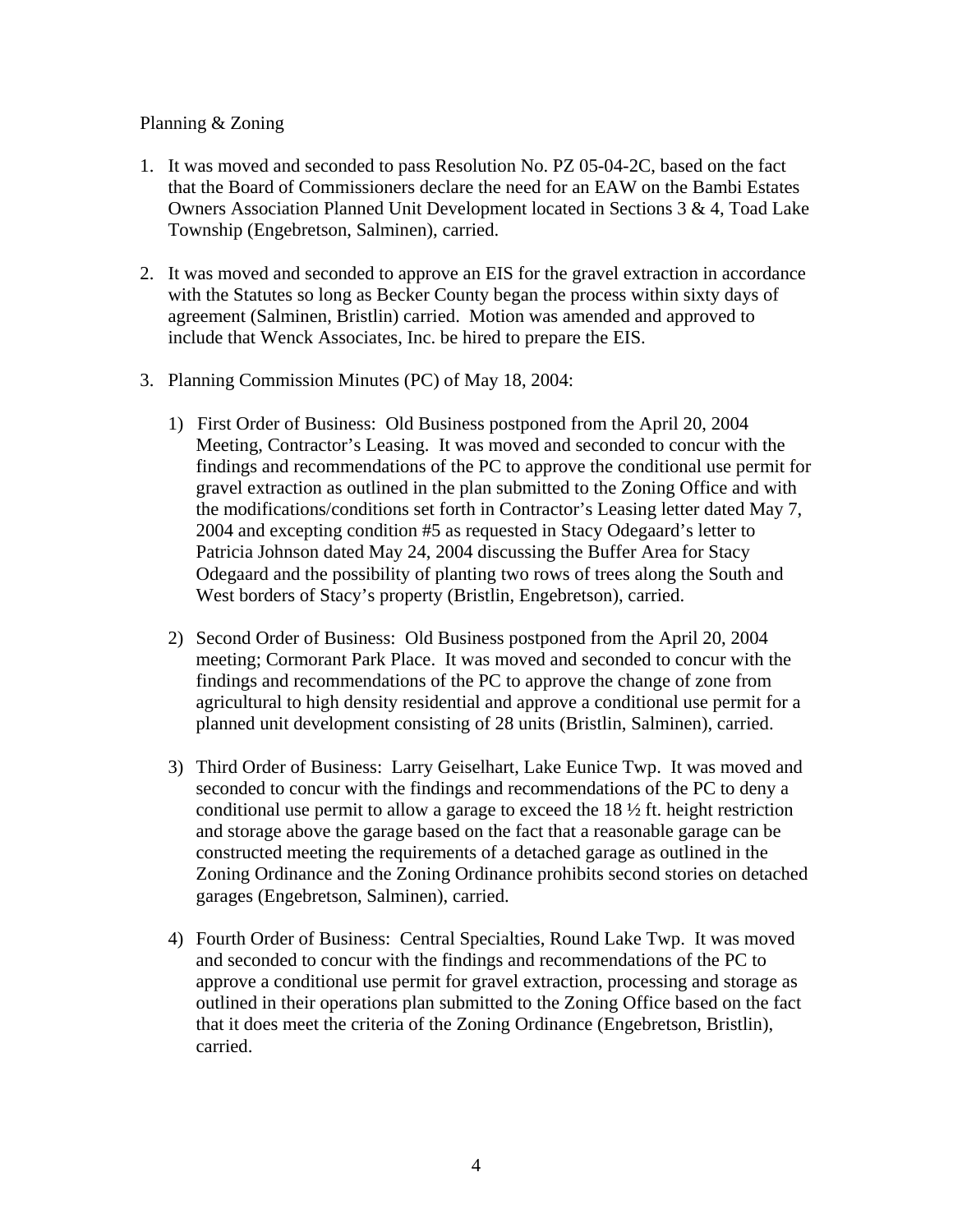## Planning & Zoning

- 1. It was moved and seconded to pass Resolution No. PZ 05-04-2C, based on the fact that the Board of Commissioners declare the need for an EAW on the Bambi Estates Owners Association Planned Unit Development located in Sections 3 & 4, Toad Lake Township (Engebretson, Salminen), carried.
- 2. It was moved and seconded to approve an EIS for the gravel extraction in accordance with the Statutes so long as Becker County began the process within sixty days of agreement (Salminen, Bristlin) carried. Motion was amended and approved to include that Wenck Associates, Inc. be hired to prepare the EIS.
- 3. Planning Commission Minutes (PC) of May 18, 2004:
	- 1) First Order of Business: Old Business postponed from the April 20, 2004 Meeting, Contractor's Leasing. It was moved and seconded to concur with the findings and recommendations of the PC to approve the conditional use permit for gravel extraction as outlined in the plan submitted to the Zoning Office and with the modifications/conditions set forth in Contractor's Leasing letter dated May 7, 2004 and excepting condition #5 as requested in Stacy Odegaard's letter to Patricia Johnson dated May 24, 2004 discussing the Buffer Area for Stacy Odegaard and the possibility of planting two rows of trees along the South and West borders of Stacy's property (Bristlin, Engebretson), carried.
	- 2) Second Order of Business: Old Business postponed from the April 20, 2004 meeting; Cormorant Park Place. It was moved and seconded to concur with the findings and recommendations of the PC to approve the change of zone from agricultural to high density residential and approve a conditional use permit for a planned unit development consisting of 28 units (Bristlin, Salminen), carried.
	- 3) Third Order of Business: Larry Geiselhart, Lake Eunice Twp. It was moved and seconded to concur with the findings and recommendations of the PC to deny a conditional use permit to allow a garage to exceed the 18 ½ ft. height restriction and storage above the garage based on the fact that a reasonable garage can be constructed meeting the requirements of a detached garage as outlined in the Zoning Ordinance and the Zoning Ordinance prohibits second stories on detached garages (Engebretson, Salminen), carried.
	- 4) Fourth Order of Business: Central Specialties, Round Lake Twp. It was moved and seconded to concur with the findings and recommendations of the PC to approve a conditional use permit for gravel extraction, processing and storage as outlined in their operations plan submitted to the Zoning Office based on the fact that it does meet the criteria of the Zoning Ordinance (Engebretson, Bristlin), carried.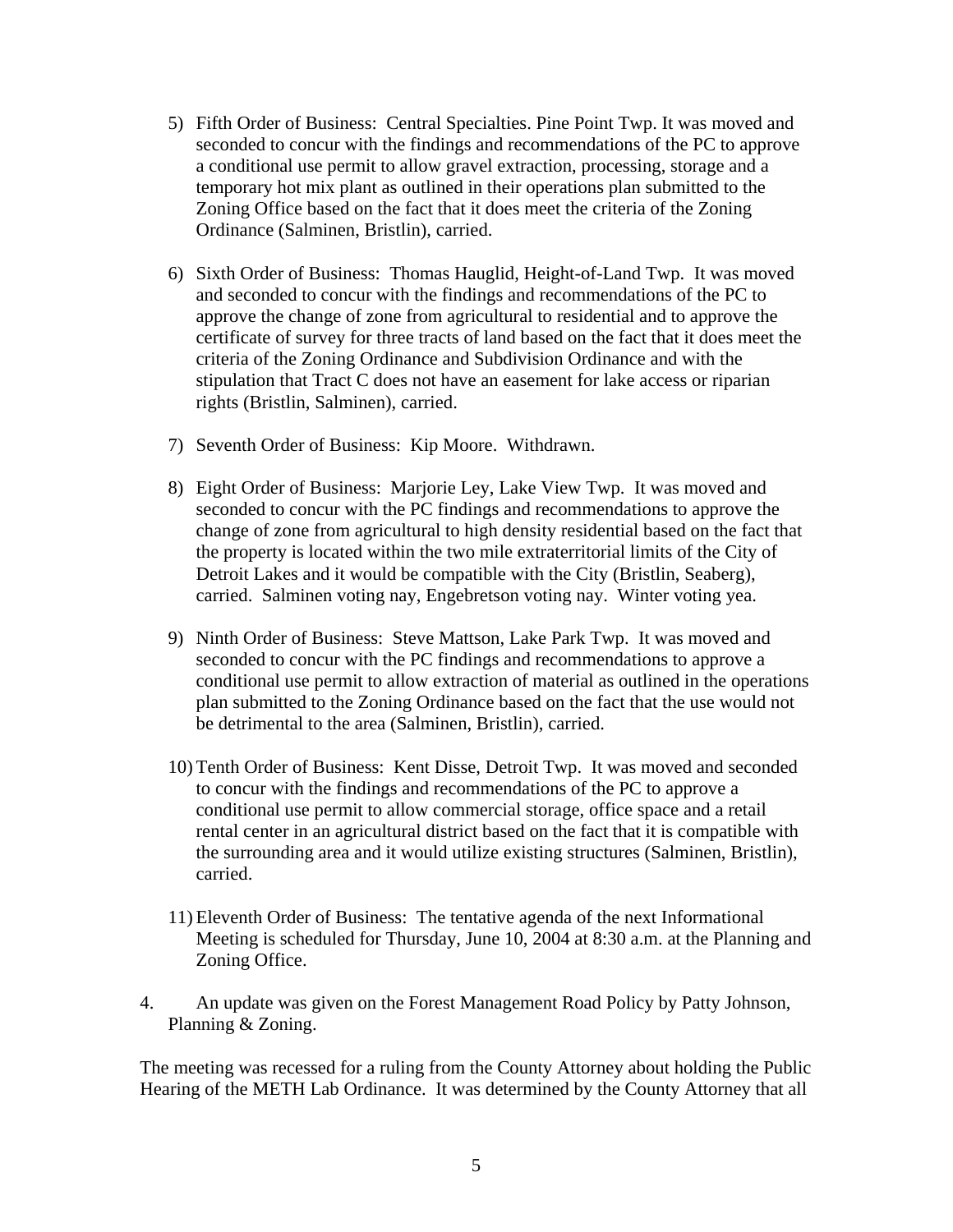- 5) Fifth Order of Business: Central Specialties. Pine Point Twp. It was moved and seconded to concur with the findings and recommendations of the PC to approve a conditional use permit to allow gravel extraction, processing, storage and a temporary hot mix plant as outlined in their operations plan submitted to the Zoning Office based on the fact that it does meet the criteria of the Zoning Ordinance (Salminen, Bristlin), carried.
- 6) Sixth Order of Business: Thomas Hauglid, Height-of-Land Twp. It was moved and seconded to concur with the findings and recommendations of the PC to approve the change of zone from agricultural to residential and to approve the certificate of survey for three tracts of land based on the fact that it does meet the criteria of the Zoning Ordinance and Subdivision Ordinance and with the stipulation that Tract C does not have an easement for lake access or riparian rights (Bristlin, Salminen), carried.
- 7) Seventh Order of Business: Kip Moore. Withdrawn.
- 8) Eight Order of Business: Marjorie Ley, Lake View Twp. It was moved and seconded to concur with the PC findings and recommendations to approve the change of zone from agricultural to high density residential based on the fact that the property is located within the two mile extraterritorial limits of the City of Detroit Lakes and it would be compatible with the City (Bristlin, Seaberg), carried. Salminen voting nay, Engebretson voting nay. Winter voting yea.
- 9) Ninth Order of Business: Steve Mattson, Lake Park Twp. It was moved and seconded to concur with the PC findings and recommendations to approve a conditional use permit to allow extraction of material as outlined in the operations plan submitted to the Zoning Ordinance based on the fact that the use would not be detrimental to the area (Salminen, Bristlin), carried.
- 10) Tenth Order of Business: Kent Disse, Detroit Twp. It was moved and seconded to concur with the findings and recommendations of the PC to approve a conditional use permit to allow commercial storage, office space and a retail rental center in an agricultural district based on the fact that it is compatible with the surrounding area and it would utilize existing structures (Salminen, Bristlin), carried.
- 11) Eleventh Order of Business: The tentative agenda of the next Informational Meeting is scheduled for Thursday, June 10, 2004 at 8:30 a.m. at the Planning and Zoning Office.
- 4. An update was given on the Forest Management Road Policy by Patty Johnson, Planning & Zoning.

The meeting was recessed for a ruling from the County Attorney about holding the Public Hearing of the METH Lab Ordinance. It was determined by the County Attorney that all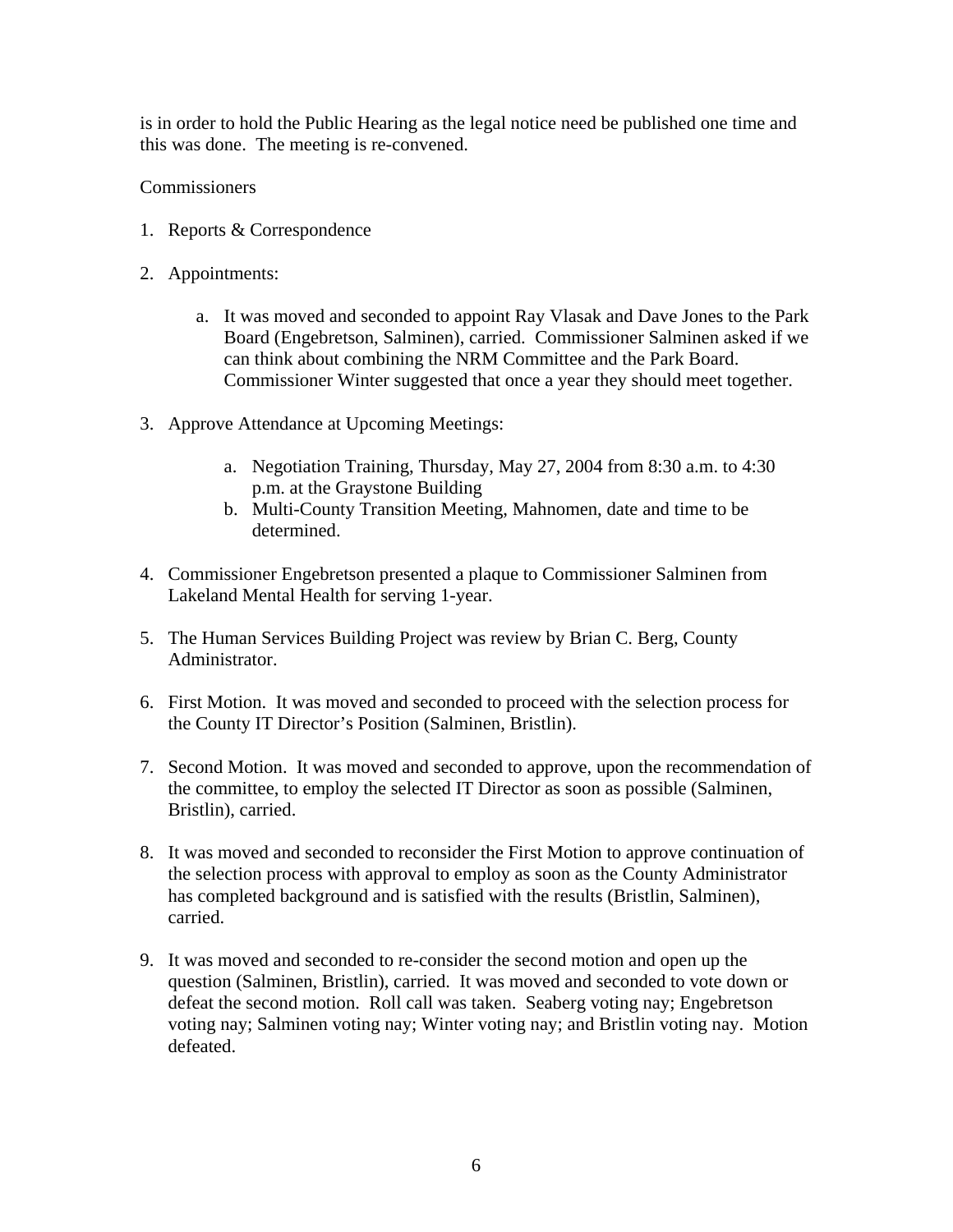is in order to hold the Public Hearing as the legal notice need be published one time and this was done. The meeting is re-convened.

**Commissioners** 

- 1. Reports & Correspondence
- 2. Appointments:
	- a. It was moved and seconded to appoint Ray Vlasak and Dave Jones to the Park Board (Engebretson, Salminen), carried. Commissioner Salminen asked if we can think about combining the NRM Committee and the Park Board. Commissioner Winter suggested that once a year they should meet together.
- 3. Approve Attendance at Upcoming Meetings:
	- a. Negotiation Training, Thursday, May 27, 2004 from 8:30 a.m. to 4:30 p.m. at the Graystone Building
	- b. Multi-County Transition Meeting, Mahnomen, date and time to be determined.
- 4. Commissioner Engebretson presented a plaque to Commissioner Salminen from Lakeland Mental Health for serving 1-year.
- 5. The Human Services Building Project was review by Brian C. Berg, County Administrator.
- 6. First Motion. It was moved and seconded to proceed with the selection process for the County IT Director's Position (Salminen, Bristlin).
- 7. Second Motion. It was moved and seconded to approve, upon the recommendation of the committee, to employ the selected IT Director as soon as possible (Salminen, Bristlin), carried.
- 8. It was moved and seconded to reconsider the First Motion to approve continuation of the selection process with approval to employ as soon as the County Administrator has completed background and is satisfied with the results (Bristlin, Salminen), carried.
- 9. It was moved and seconded to re-consider the second motion and open up the question (Salminen, Bristlin), carried. It was moved and seconded to vote down or defeat the second motion. Roll call was taken. Seaberg voting nay; Engebretson voting nay; Salminen voting nay; Winter voting nay; and Bristlin voting nay. Motion defeated.